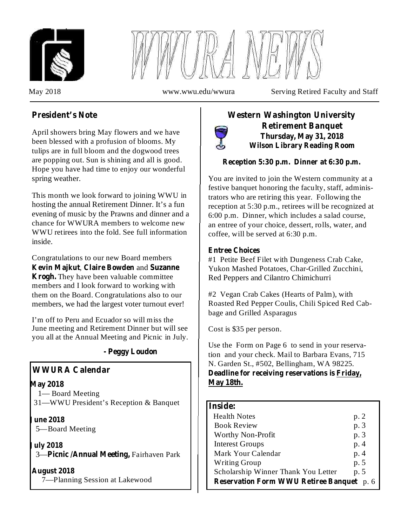



May 2018 www.wwu.edu/wwura Serving Retired Faculty and Staff

# **President's Note**

April showers bring May flowers and we have been blessed with a profusion of blooms. My tulips are in full bloom and the dogwood trees are popping out. Sun is shining and all is good. Hope you have had time to enjoy our wonderful spring weather.

This month we look forward to joining WWU in hosting the annual Retirement Dinner. It's a fun evening of music by the Prawns and dinner and a chance for WWURA members to welcome new WWU retirees into the fold. See full information inside.

Congratulations to our new Board members **Kevin Majkut, Claire Bowden** and Suzanne Krogh. They have been valuable committee members and I look forward to working with them on the Board. Congratulations also to our members, we had the largest voter turnout ever!

I'm off to Peru and Ecuador so will miss the June meeting and Retirement Dinner but will see you all at the Annual Meeting and Picnic in July.

### **- Peggy Loudon**

## **WWURA Calendar**

#### **May 2018**

1— Board Meeting 31—WWU President's Reception & Banquet

**June 2018**

5—Board Meeting

**July 2018**

3-Picnic /Annual Meeting, Fairhaven Park

**August 2018**

7—Planning Session at Lakewood

# **Western Washington University Retirement Banquet Thursday, May 31, 2018 Wilson Library Reading Room**

### **Reception 5:30 p.m. Dinner at 6:30 p.m.**

You are invited to join the Western community at a festive banquet honoring the faculty, staff, administrators who are retiring this year. Following the reception at 5:30 p.m., retirees will be recognized at 6:00 p.m. Dinner, which includes a salad course, an entree of your choice, dessert, rolls, water, and coffee, will be served at 6:30 p.m.

### **Entree Choices**

#1 Petite Beef Filet with Dungeness Crab Cake, Yukon Mashed Potatoes, Char-Grilled Zucchini, Red Peppers and Cilantro Chimichurri

#2 Vegan Crab Cakes (Hearts of Palm), with Roasted Red Pepper Coulis, Chili Spiced Red Cabbage and Grilled Asparagus

Cost is \$35 per person.

Use the Form on Page 6 to send in your reservation and your check. Mail to Barbara Evans, 715 N. Garden St., #502, Bellingham, WA 98225.

**Deadline for receiving reservations is Friday, May 18th.**

### **Inside:**

| <b>Health Notes</b>                              | p. 2 |
|--------------------------------------------------|------|
| <b>Book Review</b>                               | p. 3 |
| Worthy Non-Profit                                | p. 3 |
| <b>Interest Groups</b>                           | p. 4 |
| Mark Your Calendar                               | p. 4 |
| <b>Writing Group</b>                             | p. 5 |
| Scholarship Winner Thank You Letter              | p. 5 |
| <b>Reservation Form WWU Retiree Banquet</b> p. 6 |      |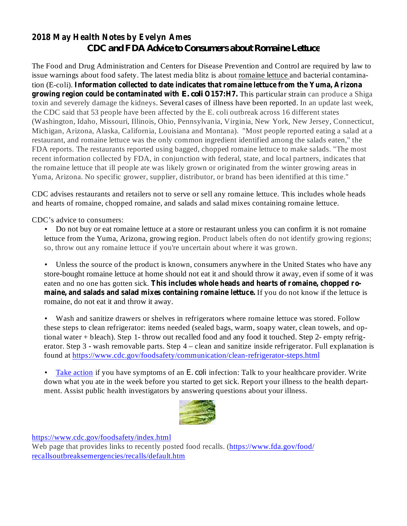# **2018 May Health Notes by Evelyn Ames** *CDC and FDA Advice to Consumers about Romaine Lettuce*

**Information collected to date indicates that romaine lettuce from the Yuma, Arizona** tion (E-coli). **growing region could be contaminated with E. coli O157:H7. This particular strain can produce a Shiga** The Food and Drug Administration and Centers for Disease Prevention and Control are required by law to issue warnings about food safety. The latest media blitz is about romaine lettuce and bacterial contaminatoxin and severely damage the kidneys. Several cases of illness have been reported. In an update last week, the CDC said that 53 people have been affected by the E. coli outbreak across 16 different states (Washington, Idaho, Missouri, Illinois, Ohio, Pennsylvania, Virginia, New York, New Jersey, Connecticut, Michigan, Arizona, Alaska, California, Louisiana and Montana). "Most people reported eating a salad at a restaurant, and romaine lettuce was the only common ingredient identified among the salads eaten," the FDA reports. The restaurants reported using bagged, chopped romaine lettuce to make salads. "The most recent information collected by FDA, in conjunction with federal, state, and local partners, indicates that the romaine lettuce that ill people ate was likely grown or originated from the winter growing areas in Yuma, Arizona. No specific grower, supplier, distributor, or brand has been identified at this time."

CDC advises restaurants and retailers not to serve or sell any romaine lettuce. This includes whole heads and hearts of romaine, chopped romaine, and salads and salad mixes containing romaine lettuce.

CDC's advice to consumers:

• Do not buy or eat romaine lettuce at a store or restaurant unless you can confirm it is not romaine lettuce from the Yuma, Arizona, growing region. Product labels often do not identify growing regions; so, throw out any romaine lettuce if you're uncertain about where it was grown.

**This includes whole heads and hearts of romaine, chopped ro-**eaten and no one has gotten sick. **maine, and salads and salad mixes containing romaine lettuce.** If you do not know if the lettuce is Unless the source of the product is known, consumers anywhere in the United States who have any store-bought romaine lettuce at home should not eat it and should throw it away, even if some of it was romaine, do not eat it and throw it away. •

• Wash and sanitize drawers or shelves in refrigerators where romaine lettuce was stored. Follow these steps to clean refrigerator: items needed (sealed bags, warm, soapy water, clean towels, and optional water + bleach). Step 1- throw out recalled food and any food it touched. Step 2- empty refrigerator. Step 3 - wash removable parts. Step 4 – clean and sanitize inside refrigerator. Full explanation is found at https://www.cdc.gov/foodsafety/communication/clean-refrigerator-steps.html

• Take action if you have symptoms of an *E. coli* infection: Talk to your healthcare provider. Write down what you ate in the week before you started to get sick. Report your illness to the health department. Assist public health investigators by answering questions about your illness.



https://www.cdc.gov/foodsafety/index.html

Web page that provides links to recently posted food recalls. (https://www.fda.gov/food/ recallsoutbreaksemergencies/recalls/default.htm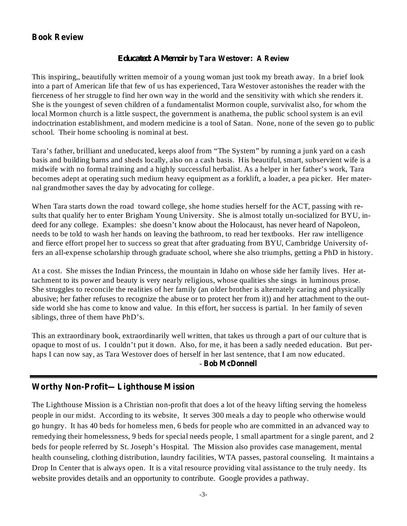### **Book Review**

#### **by Tara Westover: A Review** *Educated: A Memoir*

This inspiring,, beautifully written memoir of a young woman just took my breath away. In a brief look into a part of American life that few of us has experienced, Tara Westover astonishes the reader with the fierceness of her struggle to find her own way in the world and the sensitivity with which she renders it. She is the youngest of seven children of a fundamentalist Mormon couple, survivalist also, for whom the local Mormon church is a little suspect, the government is anathema, the public school system is an evil indoctrination establishment, and modern medicine is a tool of Satan. None, none of the seven go to public school. Their home schooling is nominal at best.

Tara's father, brilliant and uneducated, keeps aloof from "The System" by running a junk yard on a cash basis and building barns and sheds locally, also on a cash basis. His beautiful, smart, subservient wife is a midwife with no formal training and a highly successful herbalist. As a helper in her father's work, Tara becomes adept at operating such medium heavy equipment as a forklift, a loader, a pea picker. Her maternal grandmother saves the day by advocating for college.

When Tara starts down the road toward college, she home studies herself for the ACT, passing with results that qualify her to enter Brigham Young University. She is almost totally un-socialized for BYU, indeed for any college. Examples: she doesn't know about the Holocaust, has never heard of Napoleon, needs to be told to wash her hands on leaving the bathroom, to read her textbooks. Her raw intelligence and fierce effort propel her to success so great that after graduating from BYU, Cambridge University offers an all-expense scholarship through graduate school, where she also triumphs, getting a PhD in history.

At a cost. She misses the Indian Princess, the mountain in Idaho on whose side her family lives. Her attachment to its power and beauty is very nearly religious, whose qualities she sings in luminous prose. She struggles to reconcile the realities of her family (an older brother is alternately caring and physically abusive; her father refuses to recognize the abuse or to protect her from it)) and her attachment to the outside world she has come to know and value. In this effort, her success is partial. In her family of seven siblings, three of them have PhD's.

**Bob McDonnell** - This an extraordinary book, extraordinarily well written, that takes us through a part of our culture that is opaque to most of us. I couldn't put it down. Also, for me, it has been a sadly needed education. But perhaps I can now say, as Tara Westover does of herself in her last sentence, that I am now educated.

### **Worthy Non-Profit—Lighthouse Mission**

The Lighthouse Mission is a Christian non-profit that does a lot of the heavy lifting serving the homeless people in our midst. According to its website, It serves 300 meals a day to people who otherwise would go hungry. It has 40 beds for homeless men, 6 beds for people who are committed in an advanced way to remedying their homelessness, 9 beds for special needs people, 1 small apartment for a single parent, and 2 beds for people referred by St. Joseph's Hospital. The Mission also provides case management, mental health counseling, clothing distribution, laundry facilities, WTA passes, pastoral counseling. It maintains a Drop In Center that is always open. It is a vital resource providing vital assistance to the truly needy. Its website provides details and an opportunity to contribute. Google provides a pathway.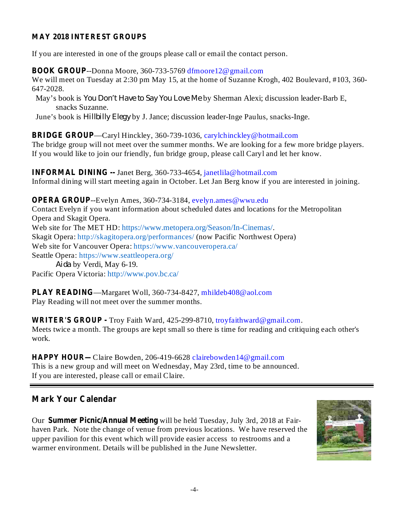#### **MAY 2018 INTEREST GROUPS**

If you are interested in one of the groups please call or email the contact person.

**BOOK GROUP**--Donna Moore, 360-733-5769 dfmoore12@gmail.com

We will meet on Tuesday at 2:30 pm May 15, at the home of Suzanne Krogh, 402 Boulevard, #103, 360- 647-2028.

May's book is *You Don't Have to Say You Love Me* by Sherman Alexi; discussion leader-Barb E, snacks Suzanne.

June's book is *Hillbilly Elegy* by J. Jance; discussion leader-Inge Paulus, snacks-Inge.

—Caryl Hinckley, 360-739-1036, carylchinckley@hotmail.com **BRIDGE GROUP**

The bridge group will not meet over the summer months. We are looking for a few more bridge players. If you would like to join our friendly, fun bridge group, please call Caryl and let her know.

**INFORMAL DINING --** Janet Berg, 360-733-4654, janetlila@hotmail.com Informal dining will start meeting again in October. Let Jan Berg know if you are interested in joining.

**OPERA GROUP**--Evelyn Ames, 360-734-3184, evelyn.ames@wwu.edu Contact Evelyn if you want information about scheduled dates and locations for the Metropolitan Opera and Skagit Opera. Web site for The MET HD: https://www.metopera.org/Season/In-Cinemas/. Skagit Opera: http://skagitopera.org/performances/ (now Pacific Northwest Opera) Web site for Vancouver Opera: https://www.vancouveropera.ca/ Seattle Opera: https://www.seattleopera.org/ by Verdi, May 6-19. *Aida*Pacific Opera Victoria: http://www.pov.bc.ca/

—Margaret Woll, 360-734-8427, mhildeb408@aol.com **PLAY READING** Play Reading will not meet over the summer months.

WRITER'S GROUP - Troy Faith Ward, 425-299-8710, troyfaithward@gmail.com. Meets twice a month. The groups are kept small so there is time for reading and critiquing each other's work.

**HAPPY HOUR—Claire Bowden, 206-419-6628 clairebowden14@gmail.com** This is a new group and will meet on Wednesday, May 23rd, time to be announced. If you are interested, please call or email Claire.

### **Mark Your Calendar**

Our Summer Picnic/Annual Meeting will be held Tuesday, July 3rd, 2018 at Fairhaven Park. Note the change of venue from previous locations. We have reserved the upper pavilion for this event which will provide easier access to restrooms and a warmer environment. Details will be published in the June Newsletter.

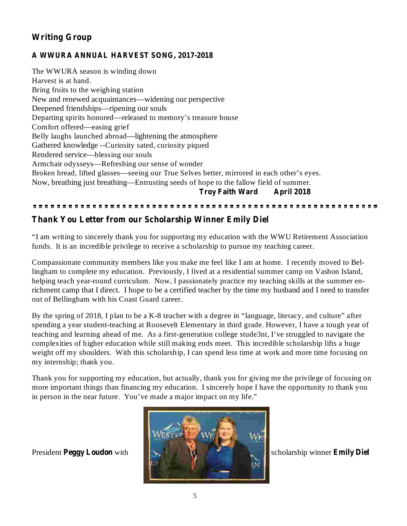# **Writing Group**

#### **A WWURA ANNUAL HARVEST SONG, 2017-2018**

**Troy Faith Ward April 2018** The WWURA season is winding down Harvest is at hand. Bring fruits to the weighing station New and renewed acquaintances—widening our perspective Deepened friendships—ripening our souls Departing spirits honored—released to memory's treasure house Comfort offered—easing grief Belly laughs launched abroad—lightening the atmosphere Gathered knowledge --Curiosity sated, curiosity piqued Rendered service—blessing our souls Armchair odysseys—Refreshing our sense of wonder Broken bread, lifted glasses—seeing our True Selves better, mirrored in each other's eyes. Now, breathing just breathing—Entrusting seeds of hope to the fallow field of summer.

#### 

#### **Thank You Letter from our Scholarship Winner Emily Diel**

"I am writing to sincerely thank you for supporting my education with the WWU Retirement Association funds. It is an incredible privilege to receive a scholarship to pursue my teaching career.

Compassionate community members like you make me feel like I am at home. I recently moved to Bellingham to complete my education. Previously, I lived at a residential summer camp on Vashon Island, helping teach year-round curriculum. Now, I passionately practice my teaching skills at the summer enrichment camp that I direct. I hope to be a certified teacher by the time my husband and I need to transfer out of Bellingham with his Coast Guard career.

By the spring of 2018, I plan to be a K-8 teacher with a degree in "language, literacy, and culture" after spending a year student-teaching at Roosevelt Elementary in third grade. However, I have a tough year of teaching and learning ahead of me. As a first-generation college stude3nt, I've struggled to navigate the complexities of higher education while still making ends meet. This incredible scholarship lifts a huge weight off my shoulders. With this scholarship, I can spend less time at work and more time focusing on my internship; thank you.

Thank you for supporting my education, but actually, thank you for giving me the privilege of focusing on more important things than financing my education. I sincerely hope I have the opportunity to thank you in person in the near future. You've made a major impact on my life."

President Peggy Loudon with



**Repared Emily Diel**